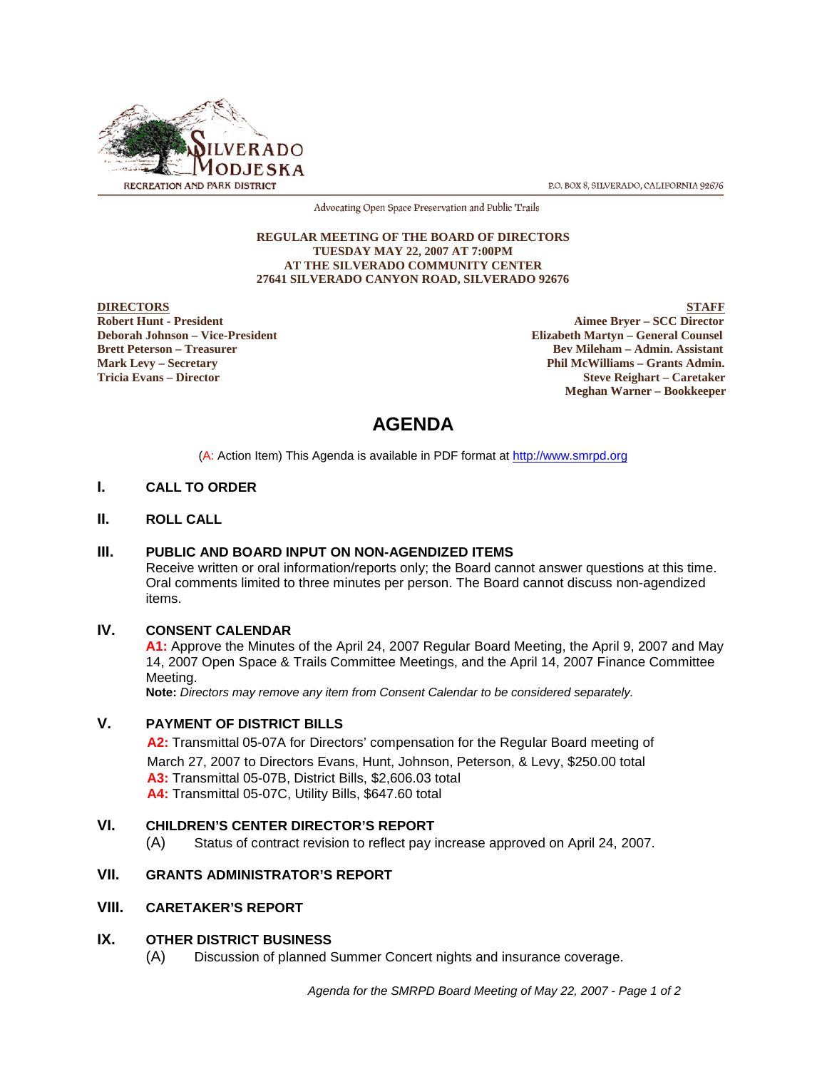

P.O. BOX 8, SILVERADO, CALIFORNIA 92676

Advocating Open Space Preservation and Public Trails

#### **REGULAR MEETING OF THE BOARD OF DIRECTORS TUESDAY MAY 22, 2007 AT 7:00PM AT THE SILVERADO COMMUNITY CENTER 27641 SILVERADO CANYON ROAD, SILVERADO 92676**

**DIRECTORS** STAFF **Robert Hunt - President Aimee Bryer – SCC Director Elizabeth Martyn – General Counsel Brett Peterson – Treasurer Bev Mileham – Admin. Assistant Mark Levy – Secretary Phil McWilliams – Grants Admin. Tricia Evans – Director Steve Reighart – Caretaker Meghan Warner – Bookkeeper**

# **AGENDA**

(A: Action Item) This Agenda is available in PDF format at http://www.smrpd.org

#### **I. CALL TO ORDER**

#### **II. ROLL CALL**

#### **III. PUBLIC AND BOARD INPUT ON NON-AGENDIZED ITEMS**

Receive written or oral information/reports only; the Board cannot answer questions at this time. Oral comments limited to three minutes per person. The Board cannot discuss non-agendized items.

#### **IV. CONSENT CALENDAR**

**A1:** Approve the Minutes of the April 24, 2007 Regular Board Meeting, the April 9, 2007 and May 14, 2007 Open Space & Trails Committee Meetings, and the April 14, 2007 Finance Committee Meeting.

**Note:** *Directors may remove any item from Consent Calendar to be considered separately.*

#### **V. PAYMENT OF DISTRICT BILLS**

**A2:**Transmittal 05-07A for Directors' compensation for the Regular Board meeting of March 27, 2007 to Directors Evans, Hunt, Johnson, Peterson, & Levy, \$250.00 total **A3:** Transmittal 05-07B, District Bills, \$2,606.03 total **A4:** Transmittal 05-07C, Utility Bills, \$647.60 total

#### **VI. CHILDREN'S CENTER DIRECTOR'S REPORT**

(A) Status of contract revision to reflect pay increase approved on April 24, 2007.

# **VII. GRANTS ADMINISTRATOR'S REPORT**

#### **VIII. CARETAKER'S REPORT**

#### **IX. OTHER DISTRICT BUSINESS**

(A) Discussion of planned Summer Concert nights and insurance coverage.